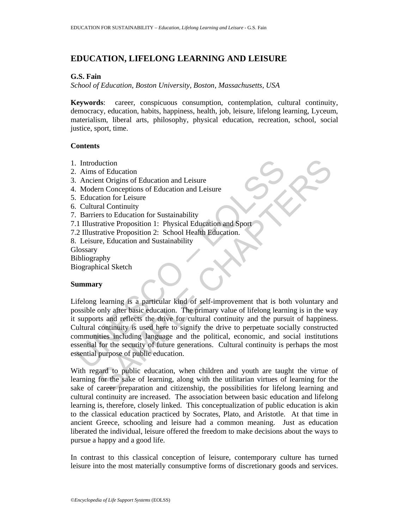# **EDUCATION, LIFELONG LEARNING AND LEISURE**

### **G.S. Fain**

*School of Education, Boston University, Boston, Massachusetts, USA*

**Keywords**: career, conspicuous consumption, contemplation, cultural continuity, democracy, education, habits, happiness, health, job, leisure, lifelong learning, Lyceum, materialism, liberal arts, philosophy, physical education, recreation, school, social justice, sport, time.

#### **Contents**

- 1. Introduction
- 2. Aims of Education
- 3. Ancient Origins of Education and Leisure
- 4. Modern Conceptions of Education and Leisure
- 5. Education for Leisure
- 6. Cultural Continuity
- 7. Barriers to Education for Sustainability
- 7.1 Illustrative Proposition 1: Physical Education and Sport
- 7.2 Illustrative Proposition 2: School Health Education.
- 8. Leisure, Education and Sustainability

**Glossary** 

Bibliography

Biographical Sketch

## **Summary**

For Microsoftonian Controllery<br>
Ancient Origins of Education and Leisure<br>
Ancient Origins of Education and Leisure<br>
Education for Leisure<br>
Education for Leisure<br>
Education for Leisure<br>
Cultural Continuity<br>
Barriers to Educ Moreover the same of Education<br>
of Education and Leisure<br>
In Conceptions of Education and Leisure<br>
In Conceptions of Education and Leisure<br>
In Conceptions of Education and Leisure<br>
The Chapter Strategie Chapter Strategie P Lifelong learning is a particular kind of self-improvement that is both voluntary and possible only after basic education. The primary value of lifelong learning is in the way it supports and reflects the drive for cultural continuity and the pursuit of happiness. Cultural continuity is used here to signify the drive to perpetuate socially constructed communities including language and the political, economic, and social institutions essential for the security of future generations. Cultural continuity is perhaps the most essential purpose of public education.

With regard to public education, when children and youth are taught the virtue of learning for the sake of learning, along with the utilitarian virtues of learning for the sake of career preparation and citizenship, the possibilities for lifelong learning and cultural continuity are increased. The association between basic education and lifelong learning is, therefore, closely linked. This conceptualization of public education is akin to the classical education practiced by Socrates, Plato, and Aristotle. At that time in ancient Greece, schooling and leisure had a common meaning. Just as education liberated the individual, leisure offered the freedom to make decisions about the ways to pursue a happy and a good life.

In contrast to this classical conception of leisure, contemporary culture has turned leisure into the most materially consumptive forms of discretionary goods and services.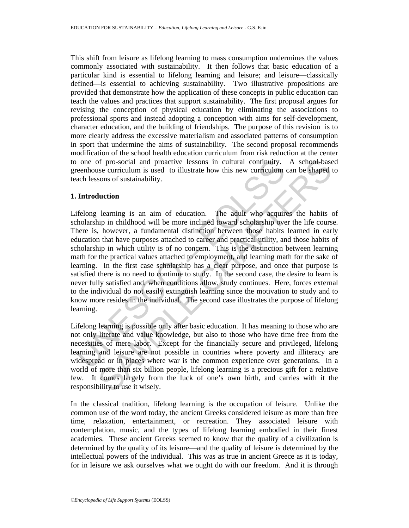This shift from leisure as lifelong learning to mass consumption undermines the values commonly associated with sustainability. It then follows that basic education of a particular kind is essential to lifelong learning and leisure; and leisure—classically defined—is essential to achieving sustainability. Two illustrative propositions are provided that demonstrate how the application of these concepts in public education can teach the values and practices that support sustainability. The first proposal argues for revising the conception of physical education by eliminating the associations to professional sports and instead adopting a conception with aims for self-development, character education, and the building of friendships. The purpose of this revision is to more clearly address the excessive materialism and associated patterns of consumption in sport that undermine the aims of sustainability. The second proposal recommends modification of the school health education curriculum from risk reduction at the center to one of pro-social and proactive lessons in cultural continuity. A school-based greenhouse curriculum is used to illustrate how this new curriculum can be shaped to teach lessons of sustainability.

#### **1. Introduction**

one of pro-social and proactive lessons in cultural continuity.<br>
reenhouse curriculum is used to illustrate how this new curriculum<br>
ach lessons of sustainability.<br> **Introduction**<br>
ach lessons of sustainability.<br> **Introduc** of pro-social and proactive lessons in cultural continuity. A school-base<br>se curriculum is used to illustrate how this new curriculum can be shaped tons of sustainability.<br> **luction**<br>
learning is an aim of education. The a Lifelong learning is an aim of education. The adult who acquires the habits of scholarship in childhood will be more inclined toward scholarship over the life course. There is, however, a fundamental distinction between those habits learned in early education that have purposes attached to career and practical utility, and those habits of scholarship in which utility is of no concern. This is the distinction between learning math for the practical values attached to employment, and learning math for the sake of learning. In the first case scholarship has a clear purpose, and once that purpose is satisfied there is no need to continue to study. In the second case, the desire to learn is never fully satisfied and, when conditions allow, study continues. Here, forces external to the individual do not easily extinguish learning since the motivation to study and to know more resides in the individual. The second case illustrates the purpose of lifelong learning.

Lifelong learning is possible only after basic education. It has meaning to those who are not only literate and value knowledge, but also to those who have time free from the necessities of mere labor. Except for the financially secure and privileged, lifelong learning and leisure are not possible in countries where poverty and illiteracy are widespread or in places where war is the common experience over generations. In a world of more than six billion people, lifelong learning is a precious gift for a relative few. It comes largely from the luck of one's own birth, and carries with it the responsibility to use it wisely.

In the classical tradition, lifelong learning is the occupation of leisure. Unlike the common use of the word today, the ancient Greeks considered leisure as more than free time, relaxation, entertainment, or recreation. They associated leisure with contemplation, music, and the types of lifelong learning embodied in their finest academies. These ancient Greeks seemed to know that the quality of a civilization is determined by the quality of its leisure—and the quality of leisure is determined by the intellectual powers of the individual. This was as true in ancient Greece as it is today, for in leisure we ask ourselves what we ought do with our freedom. And it is through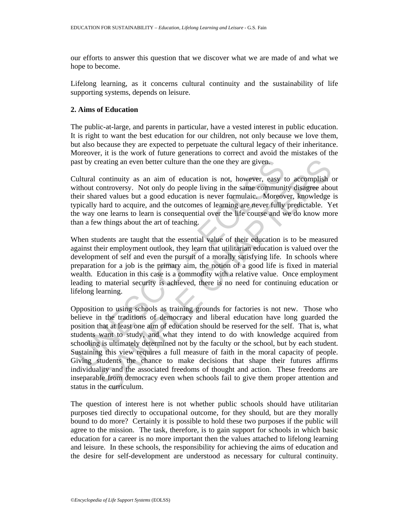our efforts to answer this question that we discover what we are made of and what we hope to become.

Lifelong learning, as it concerns cultural continuity and the sustainability of life supporting systems, depends on leisure.

## **2. Aims of Education**

The public-at-large, and parents in particular, have a vested interest in public education. It is right to want the best education for our children, not only because we love them, but also because they are expected to perpetuate the cultural legacy of their inheritance. Moreover, it is the work of future generations to correct and avoid the mistakes of the past by creating an even better culture than the one they are given.

Cultural continuity as an aim of education is not, however, easy to accomplish or without controversy. Not only do people living in the same community disagree about their shared values but a good education is never formulaic. Moreover, knowledge is typically hard to acquire, and the outcomes of learning are never fully predictable. Yet the way one learns to learn is consequential over the life course and we do know more than a few things about the art of teaching.

When students are taught that the essential value of their education is to be measured against their employment outlook, they learn that utilitarian education is valued over the development of self and even the pursuit of a morally satisfying life. In schools where preparation for a job is the primary aim, the notion of a good life is fixed in material wealth. Education in this case is a commodity with a relative value. Once employment leading to material security is achieved, there is no need for continuing education or lifelong learning.

ast by creating an even better culture than the one they are given.<br>
ultural continuity as an aim of education is not, however, easy trithout controversy. Not only do people living in the same communitier shared values but reating an even better culture than the one they are given.<br>
continuity as an aim of education is not, however, easy to accomplish controversy. Not only do people living in the same community disagree abord correct values Opposition to using schools as training grounds for factories is not new. Those who believe in the traditions of democracy and liberal education have long guarded the position that at least one aim of education should be reserved for the self. That is, what students want to study, and what they intend to do with knowledge acquired from schooling is ultimately determined not by the faculty or the school, but by each student. Sustaining this view requires a full measure of faith in the moral capacity of people. Giving students the chance to make decisions that shape their futures affirms individuality and the associated freedoms of thought and action. These freedoms are inseparable from democracy even when schools fail to give them proper attention and status in the curriculum.

The question of interest here is not whether public schools should have utilitarian purposes tied directly to occupational outcome, for they should, but are they morally bound to do more? Certainly it is possible to hold these two purposes if the public will agree to the mission. The task, therefore, is to gain support for schools in which basic education for a career is no more important then the values attached to lifelong learning and leisure. In these schools, the responsibility for achieving the aims of education and the desire for self-development are understood as necessary for cultural continuity.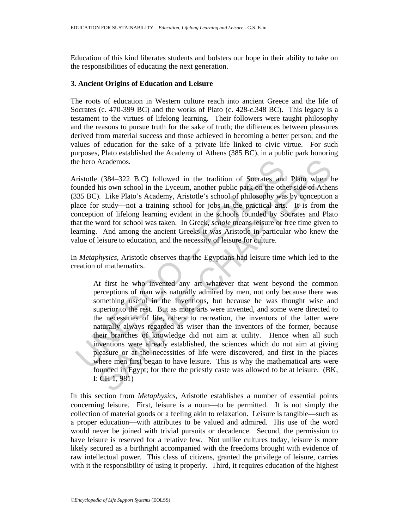Education of this kind liberates students and bolsters our hope in their ability to take on the responsibilities of educating the next generation.

#### **3. Ancient Origins of Education and Leisure**

The roots of education in Western culture reach into ancient Greece and the life of Socrates (c. 470-399 BC) and the works of Plato (c. 428-c.348 BC). This legacy is a testament to the virtues of lifelong learning. Their followers were taught philosophy and the reasons to pursue truth for the sake of truth; the differences between pleasures derived from material success and those achieved in becoming a better person; and the values of education for the sake of a private life linked to civic virtue. For such purposes, Plato established the Academy of Athens (385 BC), in a public park honoring the hero Academos.

Aristotle (384–322 B.C) followed in the tradition of Socrates and Plato when he founded his own school in the Lyceum, another public park on the other side of Athens (335 BC). Like Plato's Academy, Aristotle's school of philosophy was by conception a place for study—not a training school for jobs in the practical arts. It is from the conception of lifelong learning evident in the schools founded by Socrates and Plato that the word for school was taken. In Greek, *schole* means leisure or free time given to learning. And among the ancient Greeks it was Aristotle in particular who knew the value of leisure to education, and the necessity of leisure for culture.

In *Metaphysics,* Aristotle observes that the Egyptians had leisure time which led to the creation of mathematics.

is the hero Academos.<br>
in the tradition of Socrates and unded his own school in the Lyceum, another public park on the oth<br>
335 BC). Like Plato's Academy, Aristotle's school of philosophy was<br>
alace for study—not a trainin Academos.<br>
(384–322 B.C) followed in the tradition of Socrates and Plato when his own school in the Lyceum, another public park on the other side of Ather lines with the School of philosophy was by conception of litely and At first he who invented any art whatever that went beyond the common perceptions of man was naturally admired by men, not only because there was something useful in the inventions, but because he was thought wise and superior to the rest. But as more arts were invented, and some were directed to the necessities of life, others to recreation, the inventors of the latter were naturally always regarded as wiser than the inventors of the former, because their branches of knowledge did not aim at utility. Hence when all such inventions were already established, the sciences which do not aim at giving pleasure or at the necessities of life were discovered, and first in the places where men first began to have leisure. This is why the mathematical arts were founded in Egypt; for there the priestly caste was allowed to be at leisure. (BK, I: CH 1, 981)

In this section from *Metaphysics*, Aristotle establishes a number of essential points concerning leisure. First, leisure is a noun—to be permitted. It is not simply the collection of material goods or a feeling akin to relaxation. Leisure is tangible—such as a proper education—with attributes to be valued and admired. His use of the word would never be joined with trivial pursuits or decadence. Second, the permission to have leisure is reserved for a relative few. Not unlike cultures today, leisure is more likely secured as a birthright accompanied with the freedoms brought with evidence of raw intellectual power. This class of citizens, granted the privilege of leisure, carries with it the responsibility of using it properly. Third, it requires education of the highest